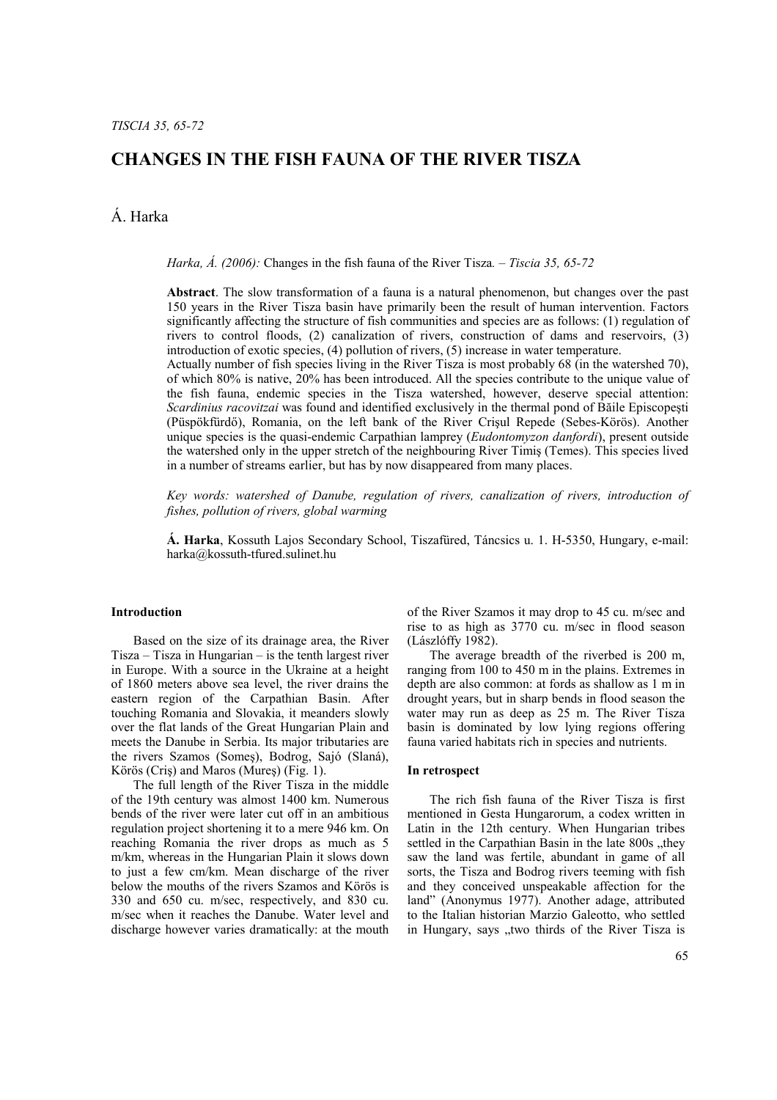## **CHANGES IN THE FISH FAUNA OF THE RIVER TISZA**

# Á. Harka

*Harka, Á. (2006):* Changes in the fish fauna of the River Tisza*. – Tiscia 35, 65-72* 

**Abstract**. The slow transformation of a fauna is a natural phenomenon, but changes over the past 150 years in the River Tisza basin have primarily been the result of human intervention. Factors significantly affecting the structure of fish communities and species are as follows: (1) regulation of rivers to control floods, (2) canalization of rivers, construction of dams and reservoirs, (3) introduction of exotic species, (4) pollution of rivers, (5) increase in water temperature.

Actually number of fish species living in the River Tisza is most probably 68 (in the watershed 70), of which 80% is native, 20% has been introduced. All the species contribute to the unique value of the fish fauna, endemic species in the Tisza watershed, however, deserve special attention: *Scardinius racovitzai* was found and identified exclusively in the thermal pond of Băile Episcopeşti (Püspökfürdő), Romania, on the left bank of the River Crişul Repede (Sebes-Körös). Another unique species is the quasi-endemic Carpathian lamprey (*Eudontomyzon danfordi*), present outside the watershed only in the upper stretch of the neighbouring River Timiş (Temes). This species lived in a number of streams earlier, but has by now disappeared from many places.

*Key words: watershed of Danube, regulation of rivers, canalization of rivers, introduction of fishes, pollution of rivers, global warming* 

**Á. Harka**, Kossuth Lajos Secondary School, Tiszafüred, Táncsics u. 1. H-5350, Hungary, e-mail: harka@kossuth-tfured.sulinet.hu

### **Introduction**

Based on the size of its drainage area, the River Tisza – Tisza in Hungarian – is the tenth largest river in Europe. With a source in the Ukraine at a height of 1860 meters above sea level, the river drains the eastern region of the Carpathian Basin. After touching Romania and Slovakia, it meanders slowly over the flat lands of the Great Hungarian Plain and meets the Danube in Serbia. Its major tributaries are the rivers Szamos (Someş), Bodrog, Sajó (Slaná), Körös (Criş) and Maros (Mureş) (Fig. 1).

The full length of the River Tisza in the middle of the 19th century was almost 1400 km. Numerous bends of the river were later cut off in an ambitious regulation project shortening it to a mere 946 km. On reaching Romania the river drops as much as 5 m/km, whereas in the Hungarian Plain it slows down to just a few cm/km. Mean discharge of the river below the mouths of the rivers Szamos and Körös is 330 and 650 cu. m/sec, respectively, and 830 cu. m/sec when it reaches the Danube. Water level and discharge however varies dramatically: at the mouth of the River Szamos it may drop to 45 cu. m/sec and rise to as high as 3770 cu. m/sec in flood season (Lászlóffy 1982).

The average breadth of the riverbed is 200 m, ranging from 100 to 450 m in the plains. Extremes in depth are also common: at fords as shallow as 1 m in drought years, but in sharp bends in flood season the water may run as deep as 25 m. The River Tisza basin is dominated by low lying regions offering fauna varied habitats rich in species and nutrients.

#### **In retrospect**

The rich fish fauna of the River Tisza is first mentioned in Gesta Hungarorum, a codex written in Latin in the 12th century. When Hungarian tribes settled in the Carpathian Basin in the late 800s .they saw the land was fertile, abundant in game of all sorts, the Tisza and Bodrog rivers teeming with fish and they conceived unspeakable affection for the land" (Anonymus 1977). Another adage, attributed to the Italian historian Marzio Galeotto, who settled in Hungary, says "two thirds of the River Tisza is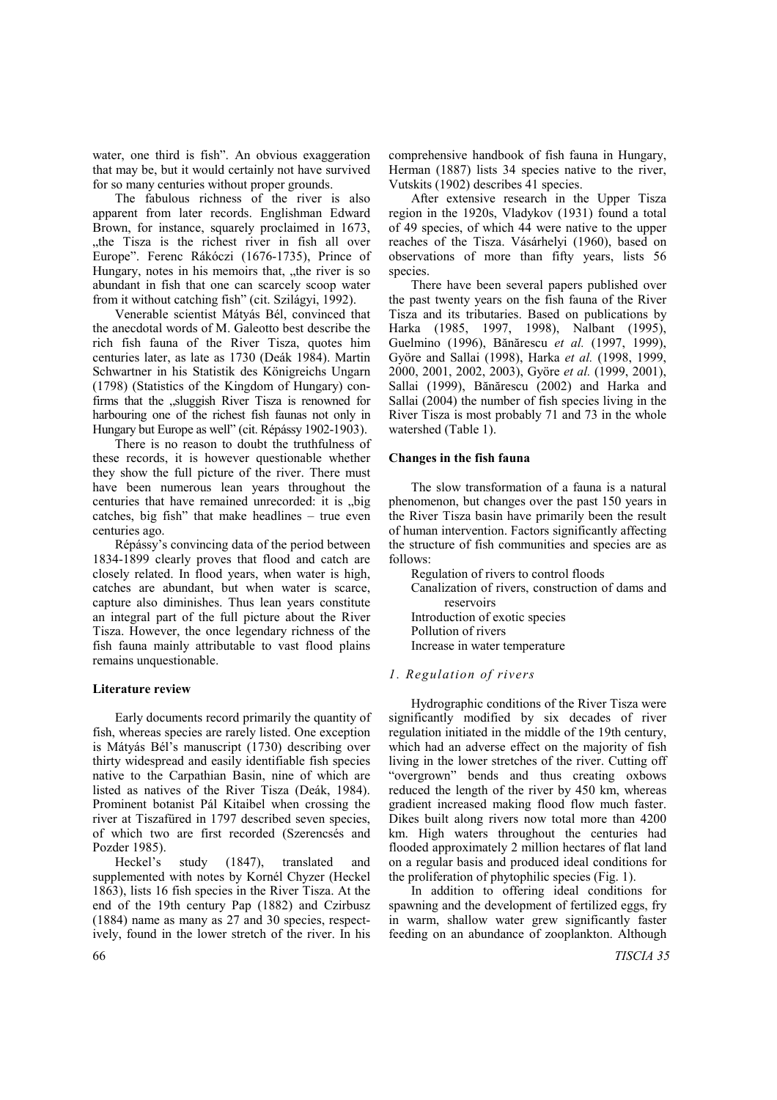water, one third is fish". An obvious exaggeration that may be, but it would certainly not have survived for so many centuries without proper grounds.

The fabulous richness of the river is also apparent from later records. Englishman Edward Brown, for instance, squarely proclaimed in 1673, "the Tisza is the richest river in fish all over Europe". Ferenc Rákóczi (1676-1735), Prince of Hungary, notes in his memoirs that, "the river is so abundant in fish that one can scarcely scoop water from it without catching fish" (cit. Szilágyi, 1992).

Venerable scientist Mátyás Bél, convinced that the anecdotal words of M. Galeotto best describe the rich fish fauna of the River Tisza, quotes him centuries later, as late as 1730 (Deák 1984). Martin Schwartner in his Statistik des Königreichs Ungarn (1798) (Statistics of the Kingdom of Hungary) confirms that the "sluggish River Tisza is renowned for harbouring one of the richest fish faunas not only in Hungary but Europe as well" (cit. Répássy 1902-1903).

There is no reason to doubt the truthfulness of these records, it is however questionable whether they show the full picture of the river. There must have been numerous lean years throughout the centuries that have remained unrecorded: it is "big catches, big fish" that make headlines – true even centuries ago.

Répássy's convincing data of the period between 1834-1899 clearly proves that flood and catch are closely related. In flood years, when water is high, catches are abundant, but when water is scarce, capture also diminishes. Thus lean years constitute an integral part of the full picture about the River Tisza. However, the once legendary richness of the fish fauna mainly attributable to vast flood plains remains unquestionable.

#### **Literature review**

Early documents record primarily the quantity of fish, whereas species are rarely listed. One exception is Mátyás Bél's manuscript (1730) describing over thirty widespread and easily identifiable fish species native to the Carpathian Basin, nine of which are listed as natives of the River Tisza (Deák, 1984). Prominent botanist Pál Kitaibel when crossing the river at Tiszafüred in 1797 described seven species, of which two are first recorded (Szerencsés and Pozder 1985).

Heckel's study (1847), translated and supplemented with notes by Kornél Chyzer (Heckel 1863), lists 16 fish species in the River Tisza. At the end of the 19th century Pap (1882) and Czirbusz (1884) name as many as 27 and 30 species, respectively, found in the lower stretch of the river. In his

comprehensive handbook of fish fauna in Hungary, Herman (1887) lists 34 species native to the river, Vutskits (1902) describes 41 species.

After extensive research in the Upper Tisza region in the 1920s, Vladykov (1931) found a total of 49 species, of which 44 were native to the upper reaches of the Tisza. Vásárhelyi (1960), based on observations of more than fifty years, lists 56 species.

There have been several papers published over the past twenty years on the fish fauna of the River Tisza and its tributaries. Based on publications by Harka (1985, 1997, 1998), Nalbant (1995), Guelmino (1996), Bănărescu *et al.* (1997, 1999), Györe and Sallai (1998), Harka *et al.* (1998, 1999, 2000, 2001, 2002, 2003), Györe *et al.* (1999, 2001), Sallai (1999), Bănărescu (2002) and Harka and Sallai (2004) the number of fish species living in the River Tisza is most probably 71 and 73 in the whole watershed (Table 1).

## **Changes in the fish fauna**

The slow transformation of a fauna is a natural phenomenon, but changes over the past 150 years in the River Tisza basin have primarily been the result of human intervention. Factors significantly affecting the structure of fish communities and species are as follows:

Regulation of rivers to control floods Canalization of rivers, construction of dams and reservoirs Introduction of exotic species Pollution of rivers Increase in water temperature

## *1. Regulation of rivers*

Hydrographic conditions of the River Tisza were significantly modified by six decades of river regulation initiated in the middle of the 19th century, which had an adverse effect on the majority of fish living in the lower stretches of the river. Cutting off "overgrown" bends and thus creating oxbows reduced the length of the river by 450 km, whereas gradient increased making flood flow much faster. Dikes built along rivers now total more than 4200 km. High waters throughout the centuries had flooded approximately 2 million hectares of flat land on a regular basis and produced ideal conditions for the proliferation of phytophilic species (Fig. 1).

In addition to offering ideal conditions for spawning and the development of fertilized eggs, fry in warm, shallow water grew significantly faster feeding on an abundance of zooplankton. Although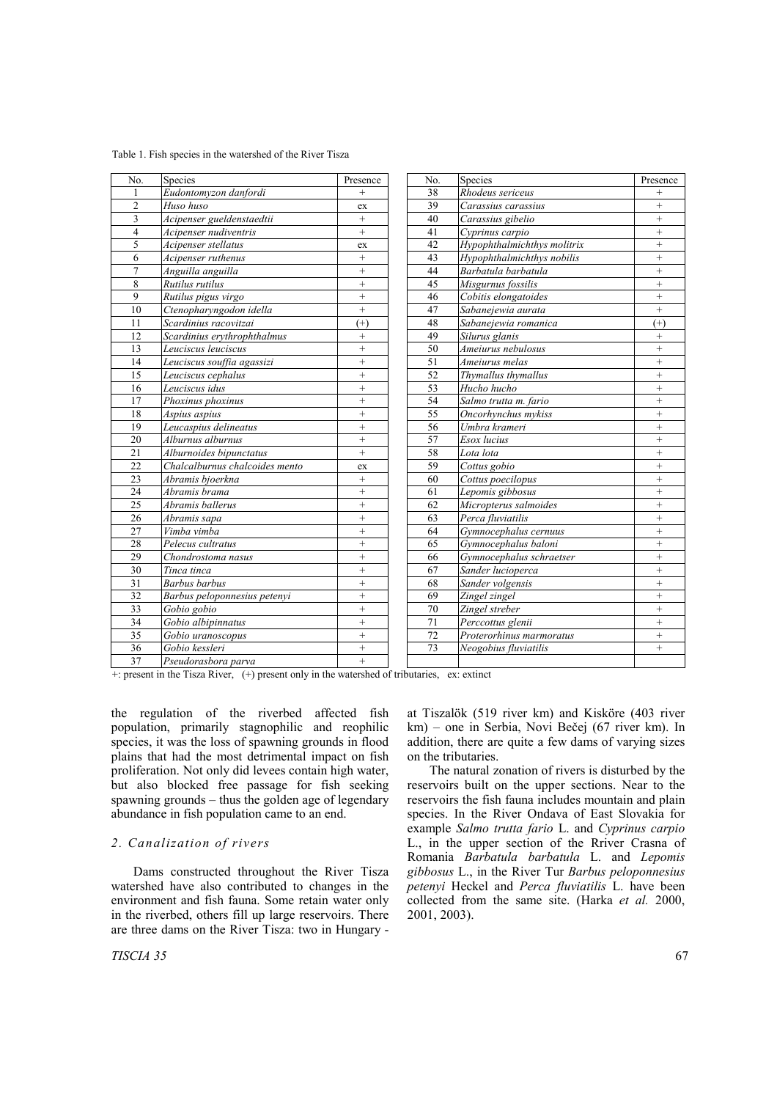| 38<br>Rhodeus sericeus<br>Eudontomyzon danfordi<br>$\qquad \qquad +$<br>$^{+}$<br>1<br>$\overline{2}$<br>39<br>$^{+}$<br>Huso huso<br>Carassius carassius<br>ex<br>3<br>40<br>$^{+}$<br>Acipenser gueldenstaedtii<br>$^{+}$<br>Carassius gibelio<br>$\overline{4}$<br>Acipenser nudiventris<br>41<br>$^{+}$<br>$\boldsymbol{+}$<br>Cyprinus carpio<br>5<br>42<br>Acipenser stellatus<br>Hypophthalmichthys molitrix<br>$\ddot{}$<br>ex<br>6<br>43<br>$\ddot{}$<br>Acipenser ruthenus<br>Hypophthalmichthys nobilis<br>$^{+}$<br>$\overline{7}$<br>44<br>Anguilla anguilla<br>$^{+}$<br>Barbatula barbatula<br>$^{+}$<br>8<br>$\ddot{}$<br>45<br>$\ddot{}$<br>Rutilus rutilus<br>Misgurnus fossilis<br>9<br>$\ddot{}$<br>46<br>Cobitis elongatoides<br>$\ddot{}$<br>Rutilus pigus virgo<br>$\ddot{}$<br>10<br>$\ddot{}$<br>47<br>Ctenopharyngodon idella<br>Sabanejewia aurata<br>48<br>11<br>Scardinius racovitzai<br>$(+)$<br>Sabanejewia romanica<br>$(+)$<br>12<br>49<br>Scardinius erythrophthalmus<br>$^{+}$<br>Silurus glanis<br>$^{+}$ |     |                     |           |     |                    |           |
|-----------------------------------------------------------------------------------------------------------------------------------------------------------------------------------------------------------------------------------------------------------------------------------------------------------------------------------------------------------------------------------------------------------------------------------------------------------------------------------------------------------------------------------------------------------------------------------------------------------------------------------------------------------------------------------------------------------------------------------------------------------------------------------------------------------------------------------------------------------------------------------------------------------------------------------------------------------------------------------------------------------------------------------------------|-----|---------------------|-----------|-----|--------------------|-----------|
|                                                                                                                                                                                                                                                                                                                                                                                                                                                                                                                                                                                                                                                                                                                                                                                                                                                                                                                                                                                                                                               | No. | Species             | Presence  | No. | Species            | Presence  |
|                                                                                                                                                                                                                                                                                                                                                                                                                                                                                                                                                                                                                                                                                                                                                                                                                                                                                                                                                                                                                                               |     |                     |           |     |                    |           |
|                                                                                                                                                                                                                                                                                                                                                                                                                                                                                                                                                                                                                                                                                                                                                                                                                                                                                                                                                                                                                                               |     |                     |           |     |                    |           |
|                                                                                                                                                                                                                                                                                                                                                                                                                                                                                                                                                                                                                                                                                                                                                                                                                                                                                                                                                                                                                                               |     |                     |           |     |                    |           |
|                                                                                                                                                                                                                                                                                                                                                                                                                                                                                                                                                                                                                                                                                                                                                                                                                                                                                                                                                                                                                                               |     |                     |           |     |                    |           |
|                                                                                                                                                                                                                                                                                                                                                                                                                                                                                                                                                                                                                                                                                                                                                                                                                                                                                                                                                                                                                                               |     |                     |           |     |                    |           |
|                                                                                                                                                                                                                                                                                                                                                                                                                                                                                                                                                                                                                                                                                                                                                                                                                                                                                                                                                                                                                                               |     |                     |           |     |                    |           |
|                                                                                                                                                                                                                                                                                                                                                                                                                                                                                                                                                                                                                                                                                                                                                                                                                                                                                                                                                                                                                                               |     |                     |           |     |                    |           |
|                                                                                                                                                                                                                                                                                                                                                                                                                                                                                                                                                                                                                                                                                                                                                                                                                                                                                                                                                                                                                                               |     |                     |           |     |                    |           |
|                                                                                                                                                                                                                                                                                                                                                                                                                                                                                                                                                                                                                                                                                                                                                                                                                                                                                                                                                                                                                                               |     |                     |           |     |                    |           |
|                                                                                                                                                                                                                                                                                                                                                                                                                                                                                                                                                                                                                                                                                                                                                                                                                                                                                                                                                                                                                                               |     |                     |           |     |                    |           |
|                                                                                                                                                                                                                                                                                                                                                                                                                                                                                                                                                                                                                                                                                                                                                                                                                                                                                                                                                                                                                                               |     |                     |           |     |                    |           |
|                                                                                                                                                                                                                                                                                                                                                                                                                                                                                                                                                                                                                                                                                                                                                                                                                                                                                                                                                                                                                                               |     |                     |           |     |                    |           |
|                                                                                                                                                                                                                                                                                                                                                                                                                                                                                                                                                                                                                                                                                                                                                                                                                                                                                                                                                                                                                                               | 13  | Leuciscus leuciscus | $\ddot{}$ | 50  | Ameiurus nebulosus | $\ddot{}$ |
| 51<br>14<br>$\ddot{}$<br>$+$<br>Leuciscus souffia agassizi<br>Ameiurus melas                                                                                                                                                                                                                                                                                                                                                                                                                                                                                                                                                                                                                                                                                                                                                                                                                                                                                                                                                                  |     |                     |           |     |                    |           |
| 52<br>15<br>$\ddot{}$<br>$+$<br>Thymallus thymallus<br>Leuciscus cephalus                                                                                                                                                                                                                                                                                                                                                                                                                                                                                                                                                                                                                                                                                                                                                                                                                                                                                                                                                                     |     |                     |           |     |                    |           |
| 53<br>16<br>$\ddot{}$<br>$+$<br>Leuciscus idus<br>Hucho hucho                                                                                                                                                                                                                                                                                                                                                                                                                                                                                                                                                                                                                                                                                                                                                                                                                                                                                                                                                                                 |     |                     |           |     |                    |           |
| 54<br>17<br>$\ddot{}$<br>Salmo trutta m. fario<br>$^{+}$<br>Phoxinus phoxinus                                                                                                                                                                                                                                                                                                                                                                                                                                                                                                                                                                                                                                                                                                                                                                                                                                                                                                                                                                 |     |                     |           |     |                    |           |
| 55<br>18<br>$\ddot{}$<br>Oncorhynchus mykiss<br>$^{+}$<br>Aspius aspius                                                                                                                                                                                                                                                                                                                                                                                                                                                                                                                                                                                                                                                                                                                                                                                                                                                                                                                                                                       |     |                     |           |     |                    |           |
| 56<br>19<br>Leucaspius delineatus<br>$^{+}$<br>Umbra krameri<br>$^{+}$                                                                                                                                                                                                                                                                                                                                                                                                                                                                                                                                                                                                                                                                                                                                                                                                                                                                                                                                                                        |     |                     |           |     |                    |           |
| 20<br>Alburnus alburnus<br>57<br>$\boldsymbol{+}$<br>Esox lucius<br>$^{+}$                                                                                                                                                                                                                                                                                                                                                                                                                                                                                                                                                                                                                                                                                                                                                                                                                                                                                                                                                                    |     |                     |           |     |                    |           |
| 21<br>58<br>Alburnoides bipunctatus<br>$^{+}$<br>Lota lota<br>$^{+}$                                                                                                                                                                                                                                                                                                                                                                                                                                                                                                                                                                                                                                                                                                                                                                                                                                                                                                                                                                          |     |                     |           |     |                    |           |
| 22<br>Chalcalburnus chalcoides mento<br>59<br>Cottus gobio<br>$^{+}$<br>ex                                                                                                                                                                                                                                                                                                                                                                                                                                                                                                                                                                                                                                                                                                                                                                                                                                                                                                                                                                    |     |                     |           |     |                    |           |
| 23<br>Abramis bjoerkna<br>$\ddot{}$<br>60<br>Cottus poecilopus<br>$^{+}$                                                                                                                                                                                                                                                                                                                                                                                                                                                                                                                                                                                                                                                                                                                                                                                                                                                                                                                                                                      |     |                     |           |     |                    |           |
| 24<br>$^{+}$<br>61<br>Lepomis gibbosus<br>$^{+}$<br>Abramis brama                                                                                                                                                                                                                                                                                                                                                                                                                                                                                                                                                                                                                                                                                                                                                                                                                                                                                                                                                                             |     |                     |           |     |                    |           |
| 25<br>Abramis ballerus<br>$^{+}$<br>62<br>Micropterus salmoides<br>$^{+}$                                                                                                                                                                                                                                                                                                                                                                                                                                                                                                                                                                                                                                                                                                                                                                                                                                                                                                                                                                     |     |                     |           |     |                    |           |
| $^{+}$<br>26<br>$^{+}$<br>63<br>Perca fluviatilis<br>Abramis sapa                                                                                                                                                                                                                                                                                                                                                                                                                                                                                                                                                                                                                                                                                                                                                                                                                                                                                                                                                                             |     |                     |           |     |                    |           |
| 27<br>$^{+}$<br>Vimba vimba<br>$\boldsymbol{+}$<br>64<br>Gymnocephalus cernuus                                                                                                                                                                                                                                                                                                                                                                                                                                                                                                                                                                                                                                                                                                                                                                                                                                                                                                                                                                |     |                     |           |     |                    |           |
| 28<br>65<br>$\qquad \qquad +$<br>Pelecus cultratus<br>$^{+}$<br>Gymnocephalus baloni                                                                                                                                                                                                                                                                                                                                                                                                                                                                                                                                                                                                                                                                                                                                                                                                                                                                                                                                                          |     |                     |           |     |                    |           |
| $\ddot{}$<br>29<br>$\boldsymbol{+}$<br>66<br>$\overline{G}$ ymnocephalus schraetser<br>Chondrostoma nasus                                                                                                                                                                                                                                                                                                                                                                                                                                                                                                                                                                                                                                                                                                                                                                                                                                                                                                                                     |     |                     |           |     |                    |           |
| 30<br>$^{+}$<br>67<br>$\qquad \qquad +$<br>Tinca tinca<br>Sander lucioperca                                                                                                                                                                                                                                                                                                                                                                                                                                                                                                                                                                                                                                                                                                                                                                                                                                                                                                                                                                   |     |                     |           |     |                    |           |
| 31<br>$\ddot{}$<br>68<br>$\ddot{}$<br>Barbus barbus<br>Sander volgensis                                                                                                                                                                                                                                                                                                                                                                                                                                                                                                                                                                                                                                                                                                                                                                                                                                                                                                                                                                       |     |                     |           |     |                    |           |
| 32<br>$\ddot{}$<br>69<br>$^{+}$<br>Zingel zingel<br>Barbus peloponnesius petenyi                                                                                                                                                                                                                                                                                                                                                                                                                                                                                                                                                                                                                                                                                                                                                                                                                                                                                                                                                              |     |                     |           |     |                    |           |
| 33<br>70<br>Gobio gobio<br>$\ddot{}$<br>Zingel streber<br>$\ddot{}$                                                                                                                                                                                                                                                                                                                                                                                                                                                                                                                                                                                                                                                                                                                                                                                                                                                                                                                                                                           |     |                     |           |     |                    |           |
| 71<br>34<br>Gobio albipinnatus<br>$^{+}$<br>Perccottus glenii<br>$\ddot{}$                                                                                                                                                                                                                                                                                                                                                                                                                                                                                                                                                                                                                                                                                                                                                                                                                                                                                                                                                                    |     |                     |           |     |                    |           |
| 35<br>72<br>Proterorhinus marmoratus<br>Gobio uranoscopus<br>$^{+}$<br>$^{+}$                                                                                                                                                                                                                                                                                                                                                                                                                                                                                                                                                                                                                                                                                                                                                                                                                                                                                                                                                                 |     |                     |           |     |                    |           |
| 73<br>36<br>Gobio kessleri<br>Neogobius fluviatilis<br>$\ddot{}$<br>$^{+}$                                                                                                                                                                                                                                                                                                                                                                                                                                                                                                                                                                                                                                                                                                                                                                                                                                                                                                                                                                    |     |                     |           |     |                    |           |
| 37<br>$+$<br>Pseudorasbora parva                                                                                                                                                                                                                                                                                                                                                                                                                                                                                                                                                                                                                                                                                                                                                                                                                                                                                                                                                                                                              |     |                     |           |     |                    |           |

+: present in the Tisza River, (+) present only in the watershed of tributaries, ex: extinct

the regulation of the riverbed affected fish population, primarily stagnophilic and reophilic species, it was the loss of spawning grounds in flood plains that had the most detrimental impact on fish proliferation. Not only did levees contain high water, but also blocked free passage for fish seeking spawning grounds – thus the golden age of legendary abundance in fish population came to an end.

#### *2. Canalization of rivers*

Dams constructed throughout the River Tisza watershed have also contributed to changes in the environment and fish fauna. Some retain water only in the riverbed, others fill up large reservoirs. There are three dams on the River Tisza: two in Hungary -

*TISCIA 35* 67

at Tiszalök (519 river km) and Kisköre (403 river km) – one in Serbia, Novi Bečej (67 river km). In addition, there are quite a few dams of varying sizes on the tributaries.

The natural zonation of rivers is disturbed by the reservoirs built on the upper sections. Near to the reservoirs the fish fauna includes mountain and plain species. In the River Ondava of East Slovakia for example *Salmo trutta fario* L. and *Cyprinus carpio* L., in the upper section of the Rriver Crasna of Romania *Barbatula barbatula* L. and *Lepomis gibbosus* L., in the River Tur *Barbus peloponnesius petenyi* Heckel and *Perca fluviatilis* L. have been collected from the same site. (Harka *et al.* 2000, 2001, 2003).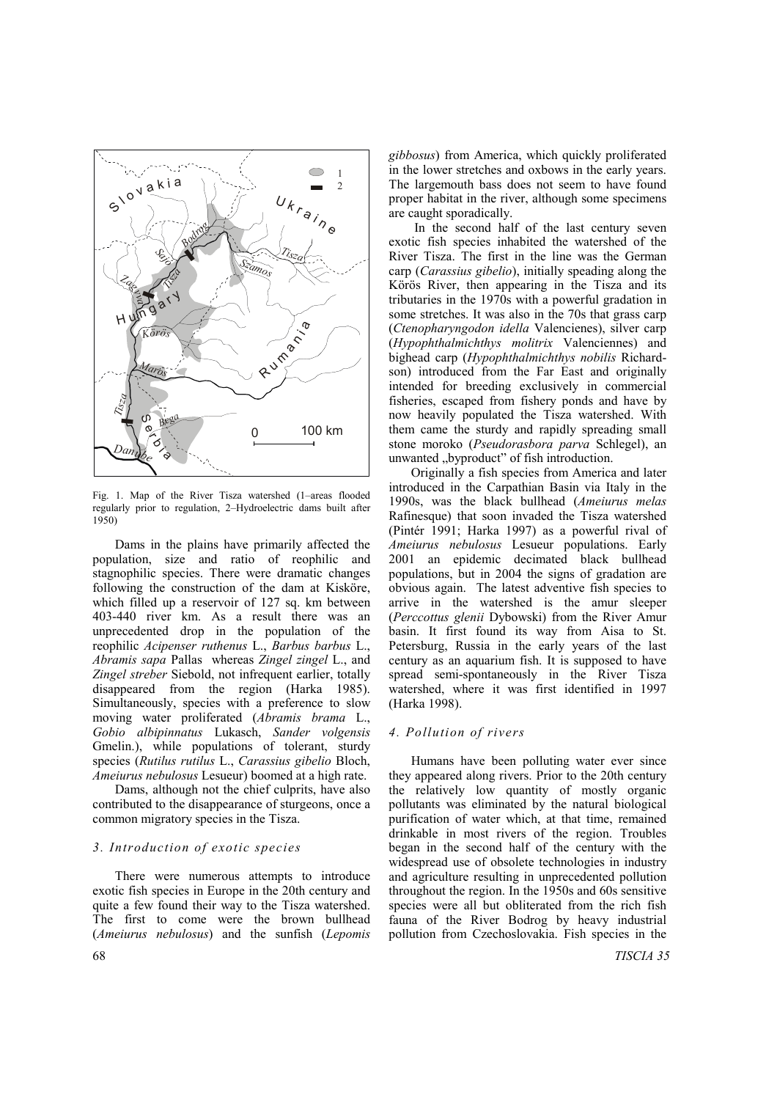

Fig. 1. Map of the River Tisza watershed (1–areas flooded regularly prior to regulation, 2–Hydroelectric dams built after 1950)

Dams in the plains have primarily affected the population, size and ratio of reophilic and stagnophilic species. There were dramatic changes following the construction of the dam at Kisköre, which filled up a reservoir of 127 sq. km between 403-440 river km. As a result there was an unprecedented drop in the population of the reophilic *Acipenser ruthenus* L., *Barbus barbus* L., *Abramis sapa* Pallas whereas *Zingel zingel* L., and *Zingel streber* Siebold, not infrequent earlier, totally disappeared from the region (Harka 1985). Simultaneously, species with a preference to slow moving water proliferated (*Abramis brama* L., *Gobio albipinnatus* Lukasch, *Sander volgensis* Gmelin.), while populations of tolerant, sturdy species (*Rutilus rutilus* L., *Carassius gibelio* Bloch, *Ameiurus nebulosus* Lesueur) boomed at a high rate.

Dams, although not the chief culprits, have also contributed to the disappearance of sturgeons, once a common migratory species in the Tisza.

## *3. Introduction of exotic species*

There were numerous attempts to introduce exotic fish species in Europe in the 20th century and quite a few found their way to the Tisza watershed. The first to come were the brown bullhead (*Ameiurus nebulosus*) and the sunfish (*Lepomis* *gibbosus*) from America, which quickly proliferated in the lower stretches and oxbows in the early years. The largemouth bass does not seem to have found proper habitat in the river, although some specimens are caught sporadically.

 In the second half of the last century seven exotic fish species inhabited the watershed of the River Tisza. The first in the line was the German carp (*Carassius gibelio*), initially speading along the Körös River, then appearing in the Tisza and its tributaries in the 1970s with a powerful gradation in some stretches. It was also in the 70s that grass carp (*Ctenopharyngodon idella* Valencienes), silver carp (*Hypophthalmichthys molitrix* Valenciennes) and bighead carp (*Hypophthalmichthys nobilis* Richardson) introduced from the Far East and originally intended for breeding exclusively in commercial fisheries, escaped from fishery ponds and have by now heavily populated the Tisza watershed. With them came the sturdy and rapidly spreading small stone moroko (*Pseudorasbora parva* Schlegel), an unwanted ..byproduct" of fish introduction.

Originally a fish species from America and later introduced in the Carpathian Basin via Italy in the 1990s, was the black bullhead (*Ameiurus melas* Rafinesque) that soon invaded the Tisza watershed (Pintér 1991; Harka 1997) as a powerful rival of *Ameiurus nebulosus* Lesueur populations. Early 2001 an epidemic decimated black bullhead populations, but in 2004 the signs of gradation are obvious again. The latest adventive fish species to arrive in the watershed is the amur sleeper (*Perccottus glenii* Dybowski) from the River Amur basin. It first found its way from Aisa to St. Petersburg, Russia in the early years of the last century as an aquarium fish. It is supposed to have spread semi-spontaneously in the River Tisza watershed, where it was first identified in 1997 (Harka 1998).

#### *4. Pollution of rivers*

Humans have been polluting water ever since they appeared along rivers. Prior to the 20th century the relatively low quantity of mostly organic pollutants was eliminated by the natural biological purification of water which, at that time, remained drinkable in most rivers of the region. Troubles began in the second half of the century with the widespread use of obsolete technologies in industry and agriculture resulting in unprecedented pollution throughout the region. In the 1950s and 60s sensitive species were all but obliterated from the rich fish fauna of the River Bodrog by heavy industrial pollution from Czechoslovakia. Fish species in the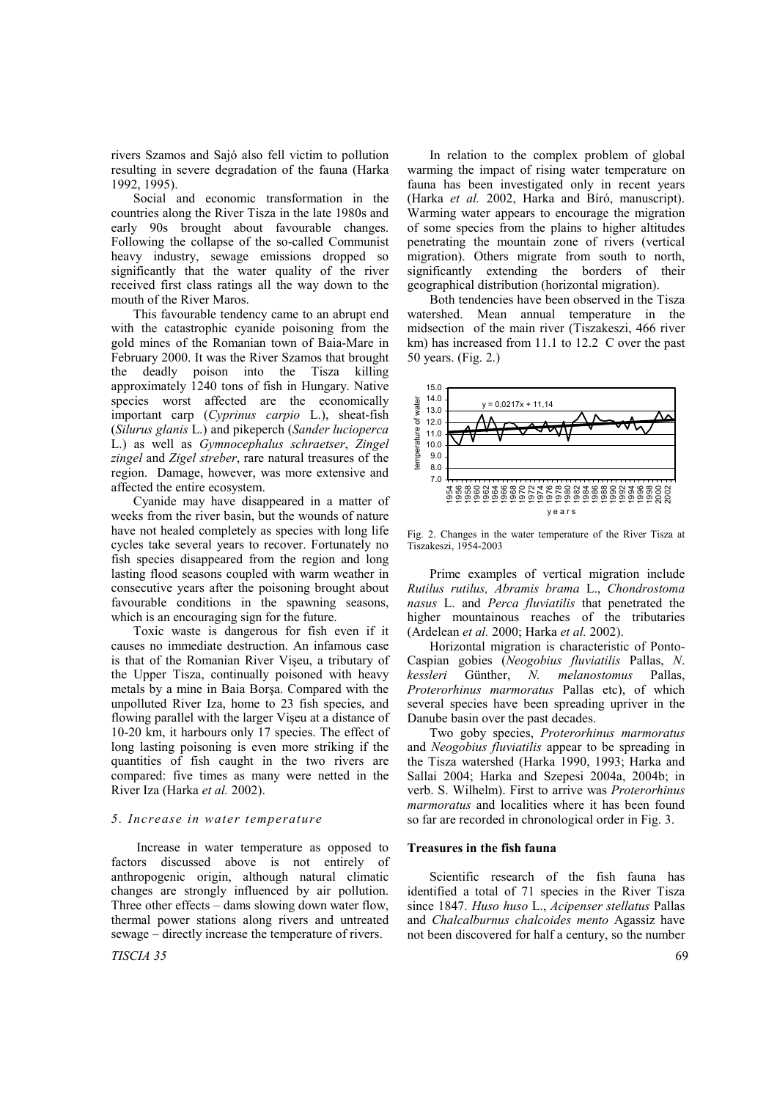rivers Szamos and Sajó also fell victim to pollution resulting in severe degradation of the fauna (Harka 1992, 1995).

Social and economic transformation in the countries along the River Tisza in the late 1980s and early 90s brought about favourable changes. Following the collapse of the so-called Communist heavy industry, sewage emissions dropped so significantly that the water quality of the river received first class ratings all the way down to the mouth of the River Maros.

This favourable tendency came to an abrupt end with the catastrophic cyanide poisoning from the gold mines of the Romanian town of Baia-Mare in February 2000. It was the River Szamos that brought the deadly poison into the Tisza killing approximately 1240 tons of fish in Hungary. Native species worst affected are the economically important carp (*Cyprinus carpio* L.), sheat-fish (*Silurus glanis* L.) and pikeperch (*Sander lucioperca* L.) as well as *Gymnocephalus schraetser*, *Zingel zingel* and *Zigel streber*, rare natural treasures of the region. Damage, however, was more extensive and affected the entire ecosystem.

Cyanide may have disappeared in a matter of weeks from the river basin, but the wounds of nature have not healed completely as species with long life cycles take several years to recover. Fortunately no fish species disappeared from the region and long lasting flood seasons coupled with warm weather in consecutive years after the poisoning brought about favourable conditions in the spawning seasons, which is an encouraging sign for the future.

Toxic waste is dangerous for fish even if it causes no immediate destruction. An infamous case is that of the Romanian River Vişeu, a tributary of the Upper Tisza, continually poisoned with heavy metals by a mine in Baia Borşa. Compared with the unpolluted River Iza, home to 23 fish species, and flowing parallel with the larger Vişeu at a distance of 10-20 km, it harbours only 17 species. The effect of long lasting poisoning is even more striking if the quantities of fish caught in the two rivers are compared: five times as many were netted in the River Iza (Harka *et al.* 2002).

#### *5. Increase in water temperature*

 Increase in water temperature as opposed to factors discussed above is not entirely of anthropogenic origin, although natural climatic changes are strongly influenced by air pollution. Three other effects – dams slowing down water flow, thermal power stations along rivers and untreated sewage – directly increase the temperature of rivers.

*TISCIA 35* 69

In relation to the complex problem of global warming the impact of rising water temperature on fauna has been investigated only in recent years (Harka *et al.* 2002, Harka and Bíró, manuscript). Warming water appears to encourage the migration of some species from the plains to higher altitudes penetrating the mountain zone of rivers (vertical migration). Others migrate from south to north, significantly extending the borders of their geographical distribution (horizontal migration).

Both tendencies have been observed in the Tisza watershed. Mean annual temperature in the midsection of the main river (Tiszakeszi, 466 river km) has increased from 11.1 to 12.2 C over the past 50 years. (Fig. 2.)



Fig. 2. Changes in the water temperature of the River Tisza at Tiszakeszi, 1954-2003

Prime examples of vertical migration include *Rutilus rutilus, Abramis brama* L., *Chondrostoma nasus* L. and *Perca fluviatilis* that penetrated the higher mountainous reaches of the tributaries (Ardelean *et al.* 2000; Harka *et al.* 2002).

Horizontal migration is characteristic of Ponto-Caspian gobies (*Neogobius fluviatilis* Pallas, *N*. *kessleri* Günther, *N. melanostomus* Pallas, *Proterorhinus marmoratus* Pallas etc), of which several species have been spreading upriver in the Danube basin over the past decades.

Two goby species, *Proterorhinus marmoratus* and *Neogobius fluviatilis* appear to be spreading in the Tisza watershed (Harka 1990, 1993; Harka and Sallai 2004; Harka and Szepesi 2004a, 2004b; in verb. S. Wilhelm). First to arrive was *Proterorhinus marmoratus* and localities where it has been found so far are recorded in chronological order in Fig. 3.

#### **Treasures in the fish fauna**

Scientific research of the fish fauna has identified a total of 71 species in the River Tisza since 1847. *Huso huso* L., *Acipenser stellatus* Pallas and *Chalcalburnus chalcoides mento* Agassiz have not been discovered for half a century, so the number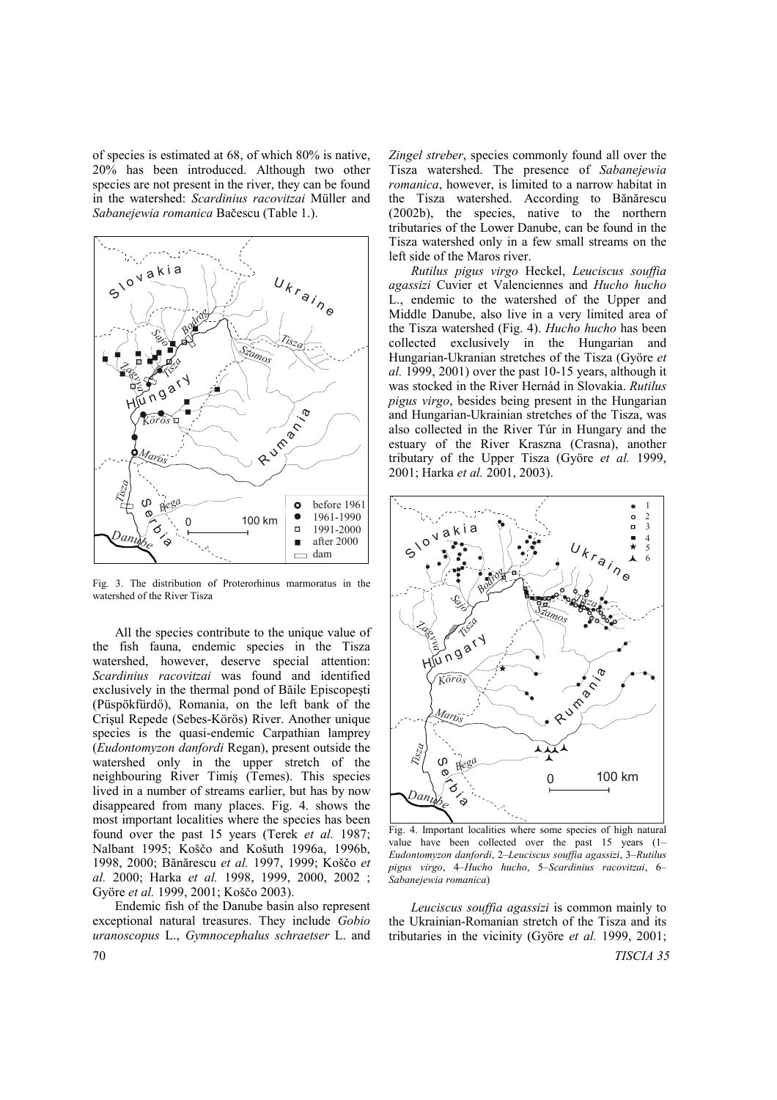of species is estimated at 68, of which 80% is native, 20% has been introduced. Although two other species are not present in the river, they can be found in the watershed: *Scardinius racovitzai* Müller and *Sabanejewia romanica* Bačescu (Table 1.).



Fig. 3. The distribution of Proterorhinus marmoratus in the watershed of the River Tisza

All the species contribute to the unique value of the fish fauna, endemic species in the Tisza watershed, however, deserve special attention: *Scardinius racovitzai* was found and identified exclusively in the thermal pond of Băile Episcopeşti (Püspökfürdő), Romania, on the left bank of the Crişul Repede (Sebes-Körös) River. Another unique species is the quasi-endemic Carpathian lamprey (*Eudontomyzon danfordi* Regan), present outside the watershed only in the upper stretch of the neighbouring River Timiş (Temes). This species lived in a number of streams earlier, but has by now disappeared from many places. Fig. 4. shows the most important localities where the species has been found over the past 15 years (Terek *et al.* 1987; Nalbant 1995; Koščo and Košuth 1996a, 1996b, 1998, 2000; Bănărescu *et al.* 1997, 1999; Koščo *et al.* 2000; Harka *et al.* 1998, 1999, 2000, 2002 ; Györe *et al.* 1999, 2001; Koščo 2003).

70 *TISCIA 35* Endemic fish of the Danube basin also represent exceptional natural treasures. They include *Gobio uranoscopus* L., *Gymnocephalus schraetser* L. and

*Zingel streber*, species commonly found all over the Tisza watershed. The presence of *Sabanejewia romanica*, however, is limited to a narrow habitat in the Tisza watershed. According to Bănărescu (2002b), the species, native to the northern tributaries of the Lower Danube, can be found in the Tisza watershed only in a few small streams on the left side of the Maros river.

*Rutilus pigus virgo* Heckel, *Leuciscus souffia agassizi* Cuvier et Valenciennes and *Hucho hucho* L., endemic to the watershed of the Upper and Middle Danube, also live in a very limited area of the Tisza watershed (Fig. 4). *Hucho hucho* has been collected exclusively in the Hungarian and Hungarian-Ukranian stretches of the Tisza (Györe *et al.* 1999, 2001) over the past 10-15 years, although it was stocked in the River Hernád in Slovakia. *Rutilus pigus virgo*, besides being present in the Hungarian and Hungarian-Ukrainian stretches of the Tisza, was also collected in the River Túr in Hungary and the estuary of the River Kraszna (Crasna), another tributary of the Upper Tisza (Györe *et al.* 1999, 2001; Harka *et al.* 2001, 2003).



Fig. 4. Important localities where some species of high natural value have been collected over the past 15 years (1– *Eudontomyzon danfordi*, 2–*Leuciscus souffia agassizi*, 3–*Rutilus pigus virgo*, 4–*Hucho hucho*, 5–*Scardinius racovitzai*, 6– *Sabanejewia romanica*)

*Leuciscus souffia agassizi* is common mainly to the Ukrainian-Romanian stretch of the Tisza and its tributaries in the vicinity (Györe *et al.* 1999, 2001;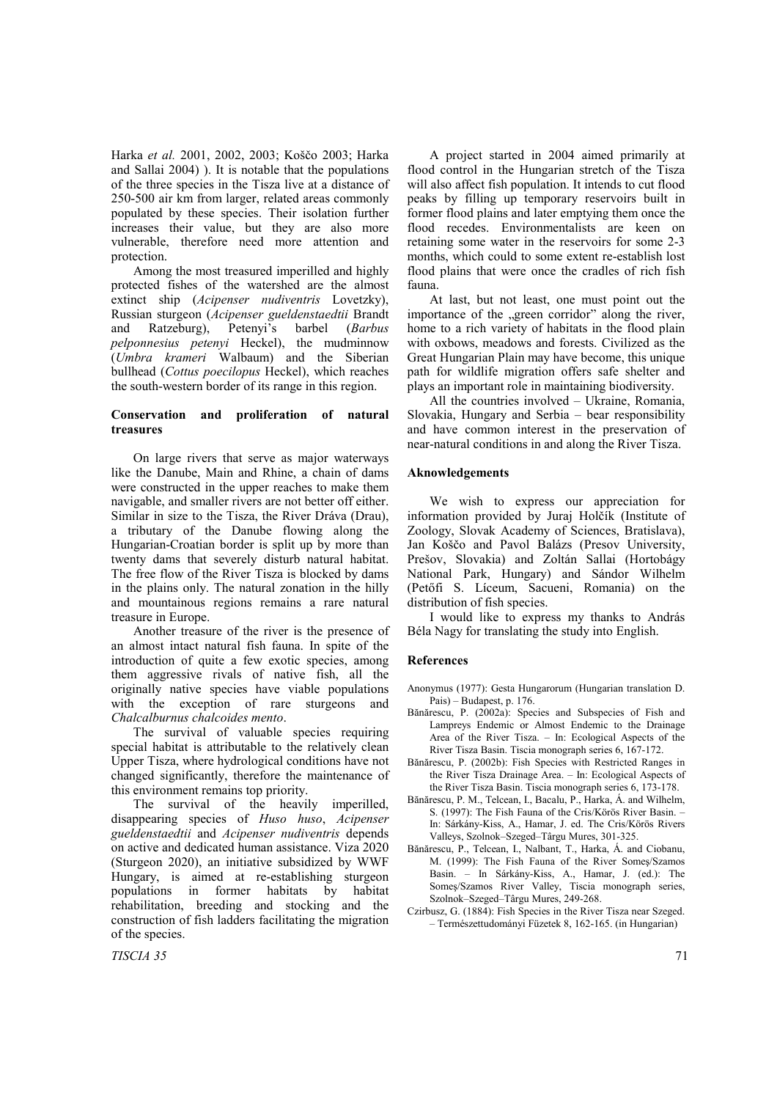Harka *et al.* 2001, 2002, 2003; Koščo 2003; Harka and Sallai 2004) ). It is notable that the populations of the three species in the Tisza live at a distance of 250-500 air km from larger, related areas commonly populated by these species. Their isolation further increases their value, but they are also more vulnerable, therefore need more attention and protection.

Among the most treasured imperilled and highly protected fishes of the watershed are the almost extinct ship (*Acipenser nudiventris* Lovetzky), Russian sturgeon (*Acipenser gueldenstaedtii* Brandt and Ratzeburg), Petenyi's barbel (*Barbus pelponnesius petenyi* Heckel), the mudminnow (*Umbra krameri* Walbaum) and the Siberian bullhead (*Cottus poecilopus* Heckel), which reaches the south-western border of its range in this region.

## **Conservation and proliferation of natural treasures**

On large rivers that serve as major waterways like the Danube, Main and Rhine, a chain of dams were constructed in the upper reaches to make them navigable, and smaller rivers are not better off either. Similar in size to the Tisza, the River Dráva (Drau), a tributary of the Danube flowing along the Hungarian-Croatian border is split up by more than twenty dams that severely disturb natural habitat. The free flow of the River Tisza is blocked by dams in the plains only. The natural zonation in the hilly and mountainous regions remains a rare natural treasure in Europe.

Another treasure of the river is the presence of an almost intact natural fish fauna. In spite of the introduction of quite a few exotic species, among them aggressive rivals of native fish, all the originally native species have viable populations with the exception of rare sturgeons and *Chalcalburnus chalcoides mento*.

The survival of valuable species requiring special habitat is attributable to the relatively clean Upper Tisza, where hydrological conditions have not changed significantly, therefore the maintenance of this environment remains top priority.

The survival of the heavily imperilled, disappearing species of *Huso huso*, *Acipenser gueldenstaedtii* and *Acipenser nudiventris* depends on active and dedicated human assistance. Viza 2020 (Sturgeon 2020), an initiative subsidized by WWF Hungary, is aimed at re-establishing sturgeon populations in former habitats by habitat rehabilitation, breeding and stocking and the construction of fish ladders facilitating the migration of the species.

A project started in 2004 aimed primarily at flood control in the Hungarian stretch of the Tisza will also affect fish population. It intends to cut flood peaks by filling up temporary reservoirs built in former flood plains and later emptying them once the flood recedes. Environmentalists are keen on retaining some water in the reservoirs for some 2-3 months, which could to some extent re-establish lost flood plains that were once the cradles of rich fish fauna.

At last, but not least, one must point out the importance of the "green corridor" along the river, home to a rich variety of habitats in the flood plain with oxbows, meadows and forests. Civilized as the Great Hungarian Plain may have become, this unique path for wildlife migration offers safe shelter and plays an important role in maintaining biodiversity.

All the countries involved – Ukraine, Romania, Slovakia, Hungary and Serbia – bear responsibility and have common interest in the preservation of near-natural conditions in and along the River Tisza.

#### **Aknowledgements**

We wish to express our appreciation for information provided by Juraj Holčík (Institute of Zoology, Slovak Academy of Sciences, Bratislava), Jan Koščo and Pavol Balázs (Presov University, Prešov, Slovakia) and Zoltán Sallai (Hortobágy National Park, Hungary) and Sándor Wilhelm (Petőfi S. Líceum, Sacueni, Romania) on the distribution of fish species.

I would like to express my thanks to András Béla Nagy for translating the study into English.

## **References**

- Anonymus (1977): Gesta Hungarorum (Hungarian translation D. Pais) – Budapest, p. 176.
- Bănărescu, P. (2002a): Species and Subspecies of Fish and Lampreys Endemic or Almost Endemic to the Drainage Area of the River Tisza. – In: Ecological Aspects of the River Tisza Basin. Tiscia monograph series 6, 167-172.
- Bănărescu, P. (2002b): Fish Species with Restricted Ranges in the River Tisza Drainage Area. – In: Ecological Aspects of the River Tisza Basin. Tiscia monograph series 6, 173-178.
- Bănărescu, P. M., Telcean, I., Bacalu, P., Harka, Á. and Wilhelm, S. (1997): The Fish Fauna of the Cris/Körös River Basin. – In: Sárkány-Kiss, A., Hamar, J. ed. The Cris/Körös Rivers Valleys, Szolnok–Szeged–Târgu Mures, 301-325.
- Bănărescu, P., Telcean, I., Nalbant, T., Harka, Á. and Ciobanu, M. (1999): The Fish Fauna of the River Someş/Szamos Basin. – In Sárkány-Kiss, A., Hamar, J. (ed.): The Someş/Szamos River Valley, Tiscia monograph series, Szolnok–Szeged–Târgu Mures, 249-268.
- Czirbusz, G. (1884): Fish Species in the River Tisza near Szeged. – Természettudományi Füzetek 8, 162-165. (in Hungarian)

*TISCIA 35* 71